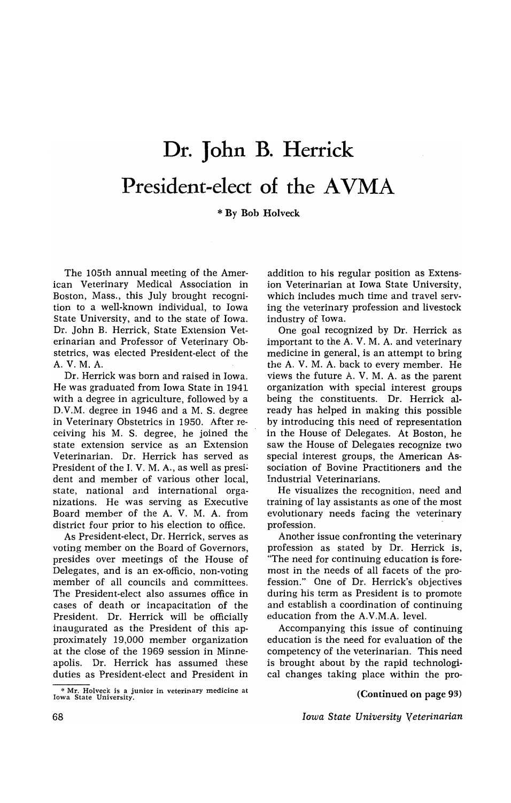## **Dr. John B. Herrick**  President-elect of the AVMA

\* By Bob Holveck

The 105th annual meeting of the American Veterinary Medical Association in Boston, Mass., this July brought recognition to a well-known individual, to Iowa State University, and to the state of Iowa. Dr. John B. Herrick, State Extension Veterinarian and Professor of Veterinary Obstetrics, was elected President-elect of the A. V. M. A.

Dr. Herrick was born and raised in Iowa. He was graduated from Iowa State in 1941 with a degree in agriculture, followed by a D.V.M. degree in 1946 and a M. S. degree in Veterinary Obstetrics in 1950. After receiving his M. S. degree, he joined the state extension service as an Extension Veterinarian. Dr. Herrick has served as President of the I.V. M.A., as well as president and member of various other local, state, national and international organizations. He was serving as Executive Board member of the A. V. M. A. from district four prior to his election to office.

As President-elect, Dr. Herrick, serves as voting member on the Board of Governors, presides over meetings of the House of Delegates, and is an ex-officio, non-voting member of all councils and committees. The President-elect also assumes office in cases of death or incapacitation of the President. Dr. Herrick will be officially inaugurated as the President of this approximately 19,000 member organization at the close of the 1969 session in Minneapolis. Dr. Herrick has assumed these duties as President-elect and President in

\* Mr. Holveck is a junior in veterinary medicine at Iowa State University.

addition to his regular position as Extension Veterinarian at Iowa State University, which includes much time and travel serving the veterinary profession and livestock industry of Iowa.

One goal recognized by Dr. Herrick as important to the A. V. M. A. and veterinary medicine in general, is an attempt to bring the A. V. M. A. back to every member. He views the future A. V. M. A. as the parent organization with special interest groups being the constituents. Dr. Herrick already has helped in making this possible by introducing this need of representation in the House of Delegates. At Boston, he saw the House of Delegates recognize two special interest groups, the American Association of Bovine Practitioners and the Industrial Veterinarians.

He visualizes the recognition, need and training of lay assistants as one of the most evolutionary needs facing the veterinary profession.

Another issue confronting the veterinary profession as stated by Dr. Herrick is, "The need for continuing education is foremost in the needs of all facets of the profession." One of Dr. Herrick's objectives during his term as President is to promote and establish a coordination of continuing education from the A.V.M.A. level.

Accompanying this issue of continuing education is the need for evaluation of the competency of the veterinarian. This need is brought about by the rapid technological changes taking place within the pro-

(Continued on page 93)

*Iowa State University Veterinarian*